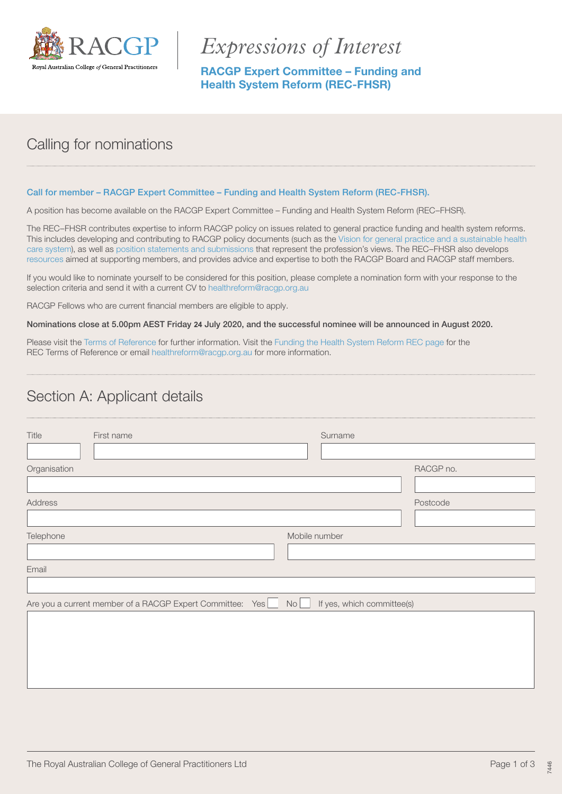

# *Expressions of Interest*

RACGP Expert Committee – Funding and Health System Reform (REC-FHSR)

## Calling for nominations

#### Call for member – RACGP Expert Committee – Funding and Health System Reform (REC-FHSR).

A position has become available on the RACGP Expert Committee – Funding and Health System Reform (REC–FHSR).

The REC–FHSR contributes expertise to inform RACGP policy on issues related to general practice funding and health system reforms. This includes developing and contributing to RACGP policy documents (such as the [Vision for general practice and a sustainable health](https://www.racgp.org.au/advocacy/advocacy-resources/the-vision-for-general-practice/the-vision)  [care system\)](https://www.racgp.org.au/advocacy/advocacy-resources/the-vision-for-general-practice/the-vision), as well as [position statements and submissions](https://www.racgp.org.au/advocacy) that represent the profession's views. The REC–FHSR also develops [resources](https://www.racgp.org.au/running-a-practice/practice-resources/medicare/medicare-benefits-schedule-fee-summary) aimed at supporting members, and provides advice and expertise to both the RACGP Board and RACGP staff members.

If you would like to nominate yourself to be considered for this position, please complete a nomination form with your response to the selection criteria and send it with a current CV to [healthreform@racgp.org.au](mailto:healthreform@racgp.org.au)

RACGP Fellows who are current financial members are eligible to apply.

Nominations close at 5.00pm AEST Friday **24** July 2020, and the successful nominee will be announced in August 2020.

Please visit the [Terms of Reference](https://www.racgp.org.au/download/Documents/JCC/Terms-of-Reference-RACGP-Expert-Committees-March-2018.pdf) for further information. Visit the [Funding the Health System Reform REC page](https://www.racgp.org.au/the-racgp/governance/committees/racgp-expert-committees/funding-and-health-system-reform) for the REC Terms of Reference or email [healthreform@racgp.org.au](mailto:healthreform@racgp.org.au) for more information.

#### Section A: Applicant details

| Title<br>First name                                                                           | Surname       |  |
|-----------------------------------------------------------------------------------------------|---------------|--|
| Organisation                                                                                  | RACGP no.     |  |
| Address                                                                                       | Postcode      |  |
| Telephone                                                                                     | Mobile number |  |
| Email                                                                                         |               |  |
| No<br>If yes, which committee(s)<br>Are you a current member of a RACGP Expert Committee: Yes |               |  |
|                                                                                               |               |  |
|                                                                                               |               |  |
|                                                                                               |               |  |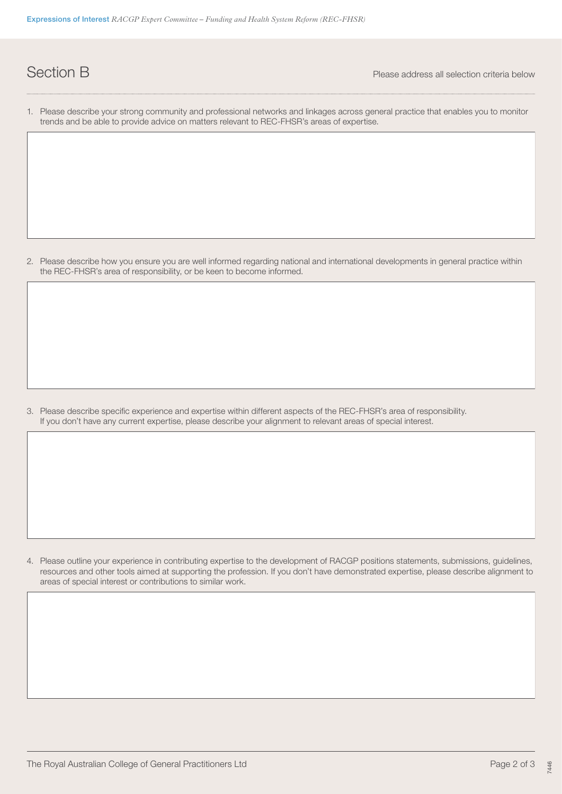**Section B** Please address all selection criteria below

1. Please describe your strong community and professional networks and linkages across general practice that enables you to monitor trends and be able to provide advice on matters relevant to REC-FHSR's areas of expertise.

2. Please describe how you ensure you are well informed regarding national and international developments in general practice within the REC-FHSR's area of responsibility, or be keen to become informed.

3. Please describe specific experience and expertise within different aspects of the REC-FHSR's area of responsibility. If you don't have any current expertise, please describe your alignment to relevant areas of special interest.

4. Please outline your experience in contributing expertise to the development of RACGP positions statements, submissions, guidelines, resources and other tools aimed at supporting the profession. If you don't have demonstrated expertise, please describe alignment to areas of special interest or contributions to similar work.